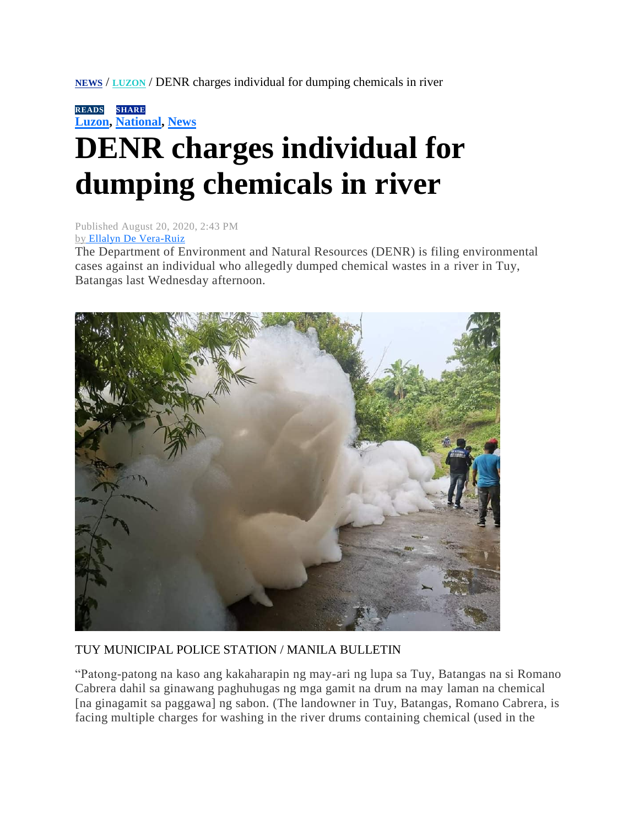**[NEWS](https://mb.com.ph/category/news/)** / **[LUZON](https://mb.com.ph/category/news/luzon/)** / DENR charges individual for dumping chemicals in river

**READSSHARE [Luzon,](https://mb.com.ph/category/news/luzon/) [National,](https://mb.com.ph/category/news/national/) [News](https://mb.com.ph/category/news/)**

## **DENR charges individual for dumping chemicals in river**

Published August 20, 2020, 2:43 PM by [Ellalyn De Vera-Ruiz](https://mb.com.ph/author/ellalyn-de-vera-ruiz)

The Department of Environment and Natural Resources (DENR) is filing environmental cases against an individual who allegedly dumped chemical wastes in a river in Tuy, Batangas last Wednesday afternoon.



## TUY MUNICIPAL POLICE STATION / MANILA BULLETIN

"Patong-patong na kaso ang kakaharapin ng may-ari ng lupa sa Tuy, Batangas na si Romano Cabrera dahil sa ginawang paghuhugas ng mga gamit na drum na may laman na chemical [na ginagamit sa paggawa] ng sabon. (The landowner in Tuy, Batangas, Romano Cabrera, is facing multiple charges for washing in the river drums containing chemical (used in the